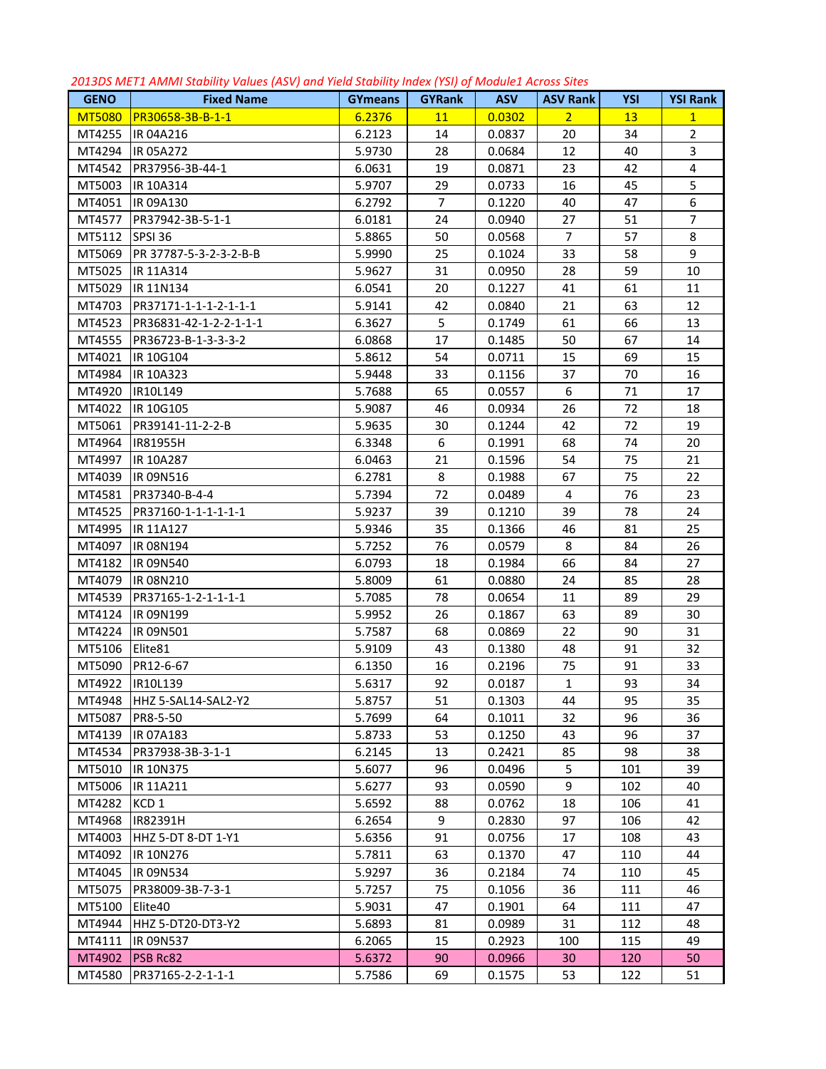| <b>GENO</b>   | <b>Fixed Name</b>      | <b>GYmeans</b> | <b>GYRank</b>  | <b>ASV</b> | <b>ASV Rank</b> | <b>YSI</b> | <b>YSI Rank</b> |
|---------------|------------------------|----------------|----------------|------------|-----------------|------------|-----------------|
| <b>MT5080</b> | PR30658-3B-B-1-1       | 6.2376         | 11             | 0.0302     | $\overline{2}$  | 13         | $\mathbf{1}$    |
| MT4255        | IR 04A216              | 6.2123         | 14             | 0.0837     | 20              | 34         | $\overline{2}$  |
| MT4294        | IR 05A272              | 5.9730         | 28             | 0.0684     | 12              | 40         | 3               |
| MT4542        | PR37956-3B-44-1        | 6.0631         | 19             | 0.0871     | 23              | 42         | 4               |
| MT5003        | IR 10A314              | 5.9707         | 29             | 0.0733     | 16              | 45         | 5               |
| MT4051        | IR 09A130              | 6.2792         | $\overline{7}$ | 0.1220     | 40              | 47         | 6               |
| MT4577        | PR37942-3B-5-1-1       | 6.0181         | 24             | 0.0940     | 27              | 51         | $\overline{7}$  |
| MT5112        | SPSI 36                | 5.8865         | 50             | 0.0568     | $\overline{7}$  | 57         | 8               |
| MT5069        | PR 37787-5-3-2-3-2-B-B | 5.9990         | 25             | 0.1024     | 33              | 58         | 9               |
| MT5025        | IR 11A314              | 5.9627         | 31             | 0.0950     | 28              | 59         | 10              |
| MT5029        | IR 11N134              | 6.0541         | 20             | 0.1227     | 41              | 61         | 11              |
| MT4703        | PR37171-1-1-1-2-1-1-1  | 5.9141         | 42             | 0.0840     | 21              | 63         | 12              |
| MT4523        | PR36831-42-1-2-2-1-1-1 | 6.3627         | 5              | 0.1749     | 61              | 66         | 13              |
| MT4555        | PR36723-B-1-3-3-3-2    | 6.0868         | 17             | 0.1485     | 50              | 67         | 14              |
| MT4021        | IR 10G104              | 5.8612         | 54             | 0.0711     | 15              | 69         | 15              |
| MT4984        | IR 10A323              | 5.9448         | 33             | 0.1156     | 37              | 70         | 16              |
| MT4920        | IR10L149               | 5.7688         | 65             | 0.0557     | 6               | 71         | 17              |
| MT4022        | IR 10G105              | 5.9087         | 46             | 0.0934     | 26              | 72         | 18              |
| MT5061        | PR39141-11-2-2-B       | 5.9635         | 30             | 0.1244     | 42              | 72         | 19              |
| MT4964        | IR81955H               | 6.3348         | 6              | 0.1991     | 68              | 74         | 20              |
| MT4997        | IR 10A287              | 6.0463         | 21             | 0.1596     | 54              | 75         | 21              |
| MT4039        | IR 09N516              | 6.2781         | 8              | 0.1988     | 67              | 75         | 22              |
| MT4581        | PR37340-B-4-4          | 5.7394         | 72             | 0.0489     | 4               | 76         | 23              |
| MT4525        | PR37160-1-1-1-1-1-1-1  | 5.9237         | 39             | 0.1210     | 39              | 78         | 24              |
| MT4995        | IR 11A127              | 5.9346         | 35             | 0.1366     | 46              | 81         | 25              |
| MT4097        | IR 08N194              | 5.7252         | 76             | 0.0579     | 8               | 84         | 26              |
| MT4182        | IR 09N540              | 6.0793         | 18             | 0.1984     | 66              | 84         | 27              |
| MT4079        | IR 08N210              | 5.8009         | 61             | 0.0880     | 24              | 85         | 28              |
| MT4539        | PR37165-1-2-1-1-1-1    | 5.7085         | 78             | 0.0654     | 11              | 89         | 29              |
| MT4124        | IR 09N199              | 5.9952         | 26             | 0.1867     | 63              | 89         | 30              |
| MT4224        | IR 09N501              | 5.7587         | 68             | 0.0869     | 22              | 90         | 31              |
| MT5106        | Elite81                | 5.9109         | 43             | 0.1380     | 48              | 91         | 32              |
| MT5090        | PR12-6-67              | 6.1350         | 16             | 0.2196     | 75              | 91         | 33              |
| MT4922        | IR10L139               | 5.6317         | 92             | 0.0187     | $\mathbf{1}$    | 93         | 34              |
| MT4948        | HHZ 5-SAL14-SAL2-Y2    | 5.8757         | 51             | 0.1303     | 44              | 95         | 35              |
| MT5087        | PR8-5-50               | 5.7699         | 64             | 0.1011     | 32              | 96         | 36              |
| MT4139        | IR 07A183              | 5.8733         | 53             | 0.1250     | 43              | 96         | 37              |
| MT4534        | PR37938-3B-3-1-1       | 6.2145         | 13             | 0.2421     | 85              | 98         | 38              |
| MT5010        | IR 10N375              | 5.6077         | 96             | 0.0496     | 5               | 101        | 39              |
| MT5006        | IR 11A211              | 5.6277         | 93             | 0.0590     | 9               | 102        | 40              |
| MT4282        | KCD <sub>1</sub>       | 5.6592         | 88             | 0.0762     | 18              | 106        | 41              |
| MT4968        | IR82391H               | 6.2654         | 9              | 0.2830     | 97              | 106        | 42              |
| MT4003        | HHZ 5-DT 8-DT 1-Y1     | 5.6356         | 91             | 0.0756     | 17              | 108        | 43              |
| MT4092        | IR 10N276              | 5.7811         | 63             | 0.1370     | 47              | 110        | 44              |
| MT4045        | IR 09N534              | 5.9297         | 36             | 0.2184     | 74              | 110        | 45              |
| MT5075        | PR38009-3B-7-3-1       | 5.7257         | 75             | 0.1056     | 36              | 111        | 46              |
| MT5100        | Elite40                | 5.9031         | 47             | 0.1901     | 64              | 111        | 47              |
| MT4944        | HHZ 5-DT20-DT3-Y2      | 5.6893         | 81             | 0.0989     | 31              | 112        | 48              |
| MT4111        | IR 09N537              | 6.2065         | 15             | 0.2923     | 100             | 115        | 49              |
| MT4902        | <b>PSB Rc82</b>        | 5.6372         | 90             | 0.0966     | 30              | 120        | 50              |
| MT4580        | PR37165-2-2-1-1-1      | 5.7586         | 69             | 0.1575     | 53              | 122        | 51              |

*2013DS MET1 AMMI Stability Values (ASV) and Yield Stability Index (YSI) of Module1 Across Sites*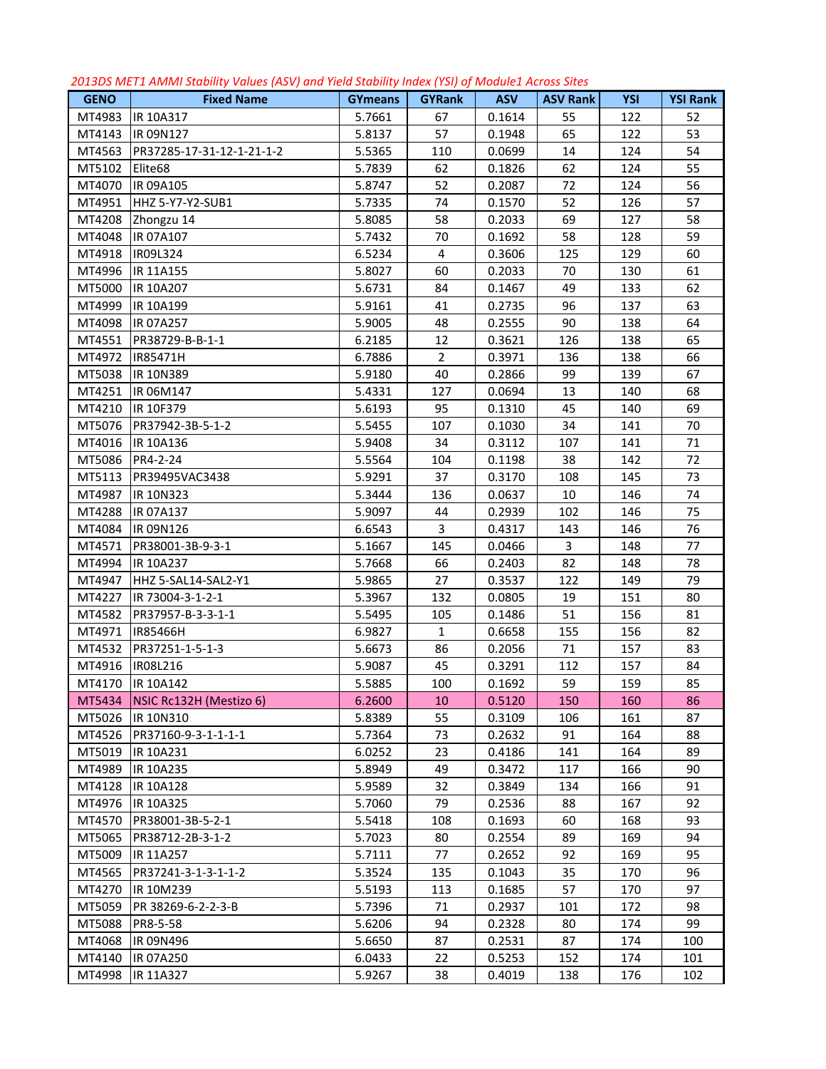| <b>GENO</b> | <b>Fixed Name</b>         | <b>GYmeans</b> | <b>GYRank</b>  | <b>ASV</b> | <b>ASV Rank</b> | <b>YSI</b> | <b>YSI Rank</b> |
|-------------|---------------------------|----------------|----------------|------------|-----------------|------------|-----------------|
| MT4983      | IR 10A317                 | 5.7661         | 67             | 0.1614     | 55              | 122        | 52              |
| MT4143      | IR 09N127                 | 5.8137         | 57             | 0.1948     | 65              | 122        | 53              |
| MT4563      | PR37285-17-31-12-1-21-1-2 | 5.5365         | 110            | 0.0699     | 14              | 124        | 54              |
| MT5102      | Elite <sub>68</sub>       | 5.7839         | 62             | 0.1826     | 62              | 124        | 55              |
| MT4070      | IR 09A105                 | 5.8747         | 52             | 0.2087     | 72              | 124        | 56              |
| MT4951      | HHZ 5-Y7-Y2-SUB1          | 5.7335         | 74             | 0.1570     | 52              | 126        | 57              |
| MT4208      | Zhongzu 14                | 5.8085         | 58             | 0.2033     | 69              | 127        | 58              |
| MT4048      | IR 07A107                 | 5.7432         | 70             | 0.1692     | 58              | 128        | 59              |
| MT4918      | IR09L324                  | 6.5234         | 4              | 0.3606     | 125             | 129        | 60              |
| MT4996      | IR 11A155                 | 5.8027         | 60             | 0.2033     | 70              | 130        | 61              |
| MT5000      | IR 10A207                 | 5.6731         | 84             | 0.1467     | 49              | 133        | 62              |
| MT4999      | IR 10A199                 | 5.9161         | 41             | 0.2735     | 96              | 137        | 63              |
| MT4098      | IR 07A257                 | 5.9005         | 48             | 0.2555     | 90              | 138        | 64              |
| MT4551      | PR38729-B-B-1-1           | 6.2185         | 12             | 0.3621     | 126             | 138        | 65              |
| MT4972      | IR85471H                  | 6.7886         | $\overline{2}$ | 0.3971     | 136             | 138        | 66              |
| MT5038      | IR 10N389                 | 5.9180         | 40             | 0.2866     | 99              | 139        | 67              |
| MT4251      | IR 06M147                 | 5.4331         | 127            | 0.0694     | 13              | 140        | 68              |
| MT4210      | IR 10F379                 | 5.6193         | 95             | 0.1310     | 45              | 140        | 69              |
| MT5076      | PR37942-3B-5-1-2          | 5.5455         | 107            | 0.1030     | 34              | 141        | 70              |
| MT4016      | IR 10A136                 | 5.9408         | 34             | 0.3112     | 107             | 141        | 71              |
| MT5086      | PR4-2-24                  | 5.5564         | 104            | 0.1198     | 38              | 142        | 72              |
| MT5113      | PR39495VAC3438            | 5.9291         | 37             | 0.3170     | 108             | 145        | 73              |
| MT4987      | IR 10N323                 | 5.3444         | 136            | 0.0637     | 10              | 146        | 74              |
| MT4288      | IR 07A137                 | 5.9097         | 44             | 0.2939     | 102             | 146        | 75              |
| MT4084      | IR 09N126                 | 6.6543         | 3              | 0.4317     | 143             | 146        | 76              |
| MT4571      | PR38001-3B-9-3-1          | 5.1667         | 145            | 0.0466     | 3               | 148        | 77              |
| MT4994      | IR 10A237                 | 5.7668         | 66             | 0.2403     | 82              | 148        | 78              |
| MT4947      | HHZ 5-SAL14-SAL2-Y1       | 5.9865         | 27             | 0.3537     | 122             | 149        | 79              |
| MT4227      | IR 73004-3-1-2-1          | 5.3967         | 132            | 0.0805     | 19              | 151        | 80              |
| MT4582      | PR37957-B-3-3-1-1         | 5.5495         | 105            | 0.1486     | 51              | 156        | 81              |
| MT4971      | IR85466H                  | 6.9827         | 1              | 0.6658     | 155             | 156        | 82              |
| MT4532      | PR37251-1-5-1-3           | 5.6673         | 86             | 0.2056     | 71              | 157        | 83              |
| MT4916      | IR08L216                  | 5.9087         | 45             | 0.3291     | 112             | 157        | 84              |
| MT4170      | IR 10A142                 | 5.5885         | 100            | 0.1692     | 59              | 159        | 85              |
| MT5434      | NSIC Rc132H (Mestizo 6)   | 6.2600         | 10             | 0.5120     | 150             | 160        | 86              |
| MT5026      | IR 10N310                 | 5.8389         | 55             | 0.3109     | 106             | 161        | 87              |
| MT4526      | PR37160-9-3-1-1-1-1       | 5.7364         | 73             | 0.2632     | 91              | 164        | 88              |
| MT5019      | IR 10A231                 | 6.0252         | 23             | 0.4186     | 141             | 164        | 89              |
| MT4989      | IR 10A235                 | 5.8949         | 49             | 0.3472     | 117             | 166        | 90              |
| MT4128      | IR 10A128                 | 5.9589         | 32             | 0.3849     | 134             | 166        | 91              |
| MT4976      | IR 10A325                 | 5.7060         | 79             | 0.2536     | 88              | 167        | 92              |
| MT4570      | PR38001-3B-5-2-1          | 5.5418         | 108            | 0.1693     | 60              | 168        | 93              |
| MT5065      | PR38712-2B-3-1-2          | 5.7023         | 80             | 0.2554     | 89              | 169        | 94              |
| MT5009      | IR 11A257                 | 5.7111         | 77             | 0.2652     | 92              | 169        | 95              |
| MT4565      | PR37241-3-1-3-1-1-2       | 5.3524         | 135            | 0.1043     | 35              | 170        | 96              |
| MT4270      | IR 10M239                 | 5.5193         | 113            | 0.1685     | 57              | 170        | 97              |
| MT5059      | PR 38269-6-2-2-3-B        | 5.7396         | 71             | 0.2937     | 101             | 172        | 98              |
| MT5088      | PR8-5-58                  | 5.6206         | 94             | 0.2328     | 80              | 174        | 99              |
| MT4068      | IR 09N496                 | 5.6650         | 87             | 0.2531     | 87              | 174        | 100             |
| MT4140      | IR 07A250                 | 6.0433         | 22             | 0.5253     | 152             | 174        | 101             |
| MT4998      | IR 11A327                 | 5.9267         | 38             | 0.4019     | 138             | 176        | 102             |

*2013DS MET1 AMMI Stability Values (ASV) and Yield Stability Index (YSI) of Module1 Across Sites*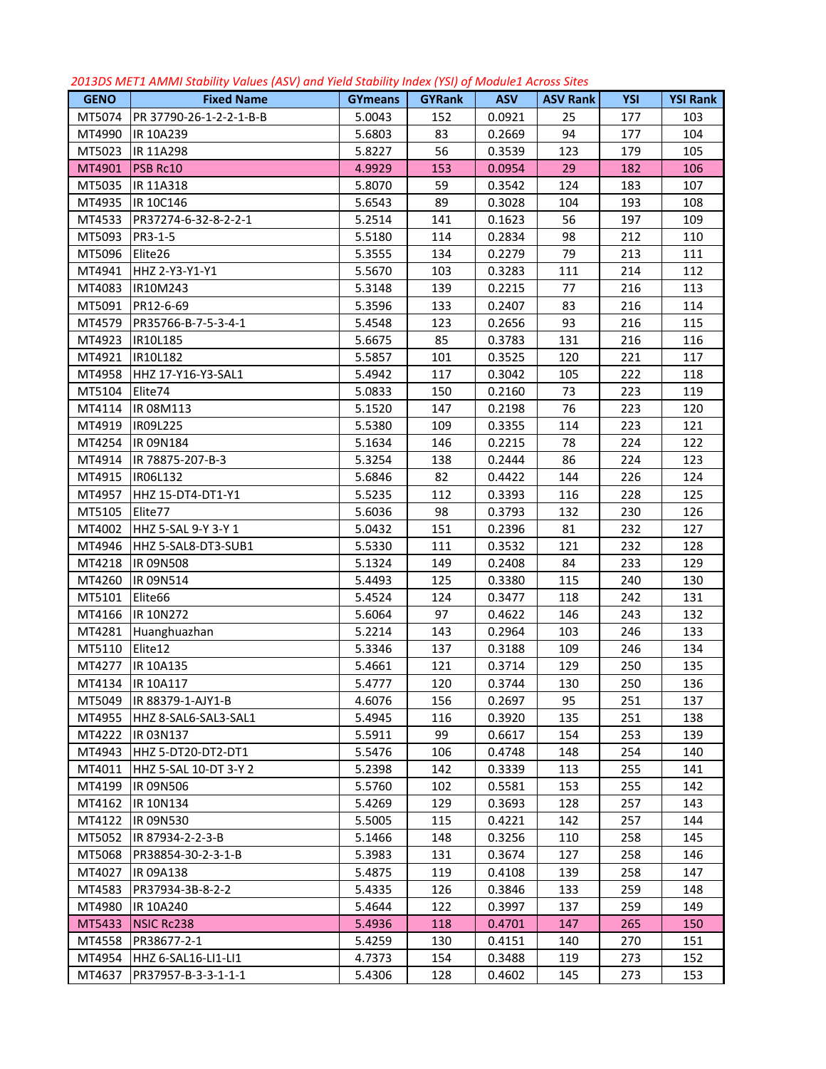| <b>GENO</b>      | <b>Fixed Name</b>       |                          | $ \, . \, . \, . \, . \, . \, .$ | <b>ASV</b>       | <b>ASV Rank</b> | YSI | <b>YSI Rank</b> |
|------------------|-------------------------|--------------------------|----------------------------------|------------------|-----------------|-----|-----------------|
| MT5074           | PR 37790-26-1-2-2-1-B-B | <b>GYmeans</b><br>5.0043 | <b>GYRank</b><br>152             | 0.0921           | 25              | 177 | 103             |
| MT4990           | <b>IR 10A239</b>        | 5.6803                   | 83                               | 0.2669           | 94              | 177 | 104             |
|                  |                         | 5.8227                   | 56                               |                  | 123             | 179 | 105             |
| MT5023<br>MT4901 | IR 11A298<br>PSB Rc10   |                          | 153                              | 0.3539           | 29              |     | 106             |
|                  | IR 11A318               | 4.9929                   | 59                               | 0.0954<br>0.3542 | 124             | 182 | 107             |
| MT5035           |                         | 5.8070                   | 89                               |                  |                 | 183 |                 |
| MT4935           | IR 10C146               | 5.6543                   |                                  | 0.3028           | 104             | 193 | 108             |
| MT4533           | PR37274-6-32-8-2-2-1    | 5.2514                   | 141                              | 0.1623           | 56              | 197 | 109             |
| MT5093           | PR3-1-5                 | 5.5180                   | 114                              | 0.2834           | 98              | 212 | 110             |
| MT5096           | Elite26                 | 5.3555                   | 134                              | 0.2279           | 79              | 213 | 111             |
| MT4941           | HHZ 2-Y3-Y1-Y1          | 5.5670                   | 103                              | 0.3283           | 111             | 214 | 112             |
| MT4083           | IR10M243                | 5.3148                   | 139                              | 0.2215           | 77              | 216 | 113             |
| MT5091           | PR12-6-69               | 5.3596                   | 133                              | 0.2407           | 83              | 216 | 114             |
| MT4579           | PR35766-B-7-5-3-4-1     | 5.4548                   | 123                              | 0.2656           | 93              | 216 | 115             |
| MT4923           | IR10L185                | 5.6675                   | 85                               | 0.3783           | 131             | 216 | 116             |
| MT4921           | IR10L182                | 5.5857                   | 101                              | 0.3525           | 120             | 221 | 117             |
| MT4958           | HHZ 17-Y16-Y3-SAL1      | 5.4942                   | 117                              | 0.3042           | 105             | 222 | 118             |
| MT5104           | Elite74                 | 5.0833                   | 150                              | 0.2160           | 73              | 223 | 119             |
| MT4114           | IR 08M113               | 5.1520                   | 147                              | 0.2198           | 76              | 223 | 120             |
| MT4919           | IR09L225                | 5.5380                   | 109                              | 0.3355           | 114             | 223 | 121             |
| MT4254           | IR 09N184               | 5.1634                   | 146                              | 0.2215           | 78              | 224 | 122             |
| MT4914           | IR 78875-207-B-3        | 5.3254                   | 138                              | 0.2444           | 86              | 224 | 123             |
| MT4915           | IR06L132                | 5.6846                   | 82                               | 0.4422           | 144             | 226 | 124             |
| MT4957           | HHZ 15-DT4-DT1-Y1       | 5.5235                   | 112                              | 0.3393           | 116             | 228 | 125             |
| MT5105           | Elite77                 | 5.6036                   | 98                               | 0.3793           | 132             | 230 | 126             |
| MT4002           | HHZ 5-SAL 9-Y 3-Y 1     | 5.0432                   | 151                              | 0.2396           | 81              | 232 | 127             |
| MT4946           | HHZ 5-SAL8-DT3-SUB1     | 5.5330                   | 111                              | 0.3532           | 121             | 232 | 128             |
| MT4218           | IR 09N508               | 5.1324                   | 149                              | 0.2408           | 84              | 233 | 129             |
| MT4260           | IR 09N514               | 5.4493                   | 125                              | 0.3380           | 115             | 240 | 130             |
| MT5101           | Elite66                 | 5.4524                   | 124                              | 0.3477           | 118             | 242 | 131             |
| MT4166           | IR 10N272               | 5.6064                   | 97                               | 0.4622           | 146             | 243 | 132             |
| MT4281           | Huanghuazhan            | 5.2214                   | 143                              | 0.2964           | 103             | 246 | 133             |
| MT5110           | Elite12                 | 5.3346                   | 137                              | 0.3188           | 109             | 246 | 134             |
| MT4277           | IR 10A135               | 5.4661                   | 121                              | 0.3714           | 129             | 250 | 135             |
|                  | MT4134  IR 10A117       | 5.4777                   | 120                              | 0.3744           | 130             | 250 | 136             |
| MT5049           | IR 88379-1-AJY1-B       | 4.6076                   | 156                              | 0.2697           | 95              | 251 | 137             |
| MT4955           | HHZ 8-SAL6-SAL3-SAL1    | 5.4945                   | 116                              | 0.3920           | 135             | 251 | 138             |
| MT4222           | IR 03N137               | 5.5911                   | 99                               | 0.6617           | 154             | 253 | 139             |
| MT4943           | HHZ 5-DT20-DT2-DT1      | 5.5476                   | 106                              | 0.4748           | 148             | 254 | 140             |
| MT4011           | HHZ 5-SAL 10-DT 3-Y 2   | 5.2398                   | 142                              | 0.3339           | 113             | 255 | 141             |
| MT4199           | IR 09N506               | 5.5760                   | 102                              | 0.5581           | 153             | 255 | 142             |
| MT4162           | IR 10N134               | 5.4269                   | 129                              | 0.3693           | 128             | 257 | 143             |
| MT4122           | IR 09N530               | 5.5005                   | 115                              | 0.4221           | 142             | 257 | 144             |
| MT5052           | IR 87934-2-2-3-B        | 5.1466                   | 148                              | 0.3256           | 110             | 258 | 145             |
| MT5068           | PR38854-30-2-3-1-B      | 5.3983                   | 131                              | 0.3674           | 127             | 258 | 146             |
| MT4027           | IR 09A138               | 5.4875                   | 119                              | 0.4108           | 139             | 258 | 147             |
| MT4583           | PR37934-3B-8-2-2        | 5.4335                   | 126                              | 0.3846           | 133             | 259 | 148             |
| MT4980           | IR 10A240               | 5.4644                   | 122                              | 0.3997           | 137             | 259 | 149             |
| MT5433           | NSIC Rc238              | 5.4936                   | 118                              | 0.4701           | 147             | 265 | 150             |
| MT4558           | PR38677-2-1             | 5.4259                   | 130                              | 0.4151           | 140             | 270 | 151             |
| MT4954           | HHZ 6-SAL16-LI1-LI1     | 4.7373                   | 154                              | 0.3488           | 119             | 273 | 152             |
| MT4637           | PR37957-B-3-3-1-1-1     | 5.4306                   | 128                              | 0.4602           | 145             | 273 | 153             |
|                  |                         |                          |                                  |                  |                 |     |                 |

## *2013DS MET1 AMMI Stability Values (ASV) and Yield Stability Index (YSI) of Module1 Across Sites*